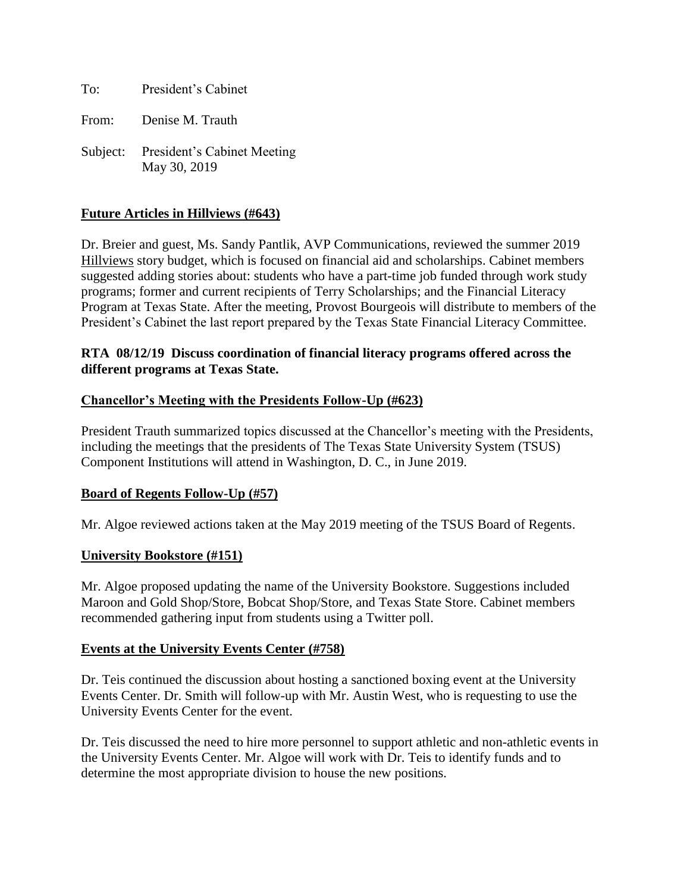To: President's Cabinet

From: Denise M. Trauth

Subject: President's Cabinet Meeting May 30, 2019

# **Future Articles in Hillviews (#643)**

Dr. Breier and guest, Ms. Sandy Pantlik, AVP Communications, reviewed the summer 2019 Hillviews story budget, which is focused on financial aid and scholarships. Cabinet members suggested adding stories about: students who have a part-time job funded through work study programs; former and current recipients of Terry Scholarships; and the Financial Literacy Program at Texas State. After the meeting, Provost Bourgeois will distribute to members of the President's Cabinet the last report prepared by the Texas State Financial Literacy Committee.

#### **RTA 08/12/19 Discuss coordination of financial literacy programs offered across the different programs at Texas State.**

#### **Chancellor's Meeting with the Presidents Follow-Up (#623)**

President Trauth summarized topics discussed at the Chancellor's meeting with the Presidents, including the meetings that the presidents of The Texas State University System (TSUS) Component Institutions will attend in Washington, D. C., in June 2019.

#### **Board of Regents Follow-Up (#57)**

Mr. Algoe reviewed actions taken at the May 2019 meeting of the TSUS Board of Regents.

#### **University Bookstore (#151)**

Mr. Algoe proposed updating the name of the University Bookstore. Suggestions included Maroon and Gold Shop/Store, Bobcat Shop/Store, and Texas State Store. Cabinet members recommended gathering input from students using a Twitter poll.

#### **Events at the University Events Center (#758)**

Dr. Teis continued the discussion about hosting a sanctioned boxing event at the University Events Center. Dr. Smith will follow-up with Mr. Austin West, who is requesting to use the University Events Center for the event.

Dr. Teis discussed the need to hire more personnel to support athletic and non-athletic events in the University Events Center. Mr. Algoe will work with Dr. Teis to identify funds and to determine the most appropriate division to house the new positions.